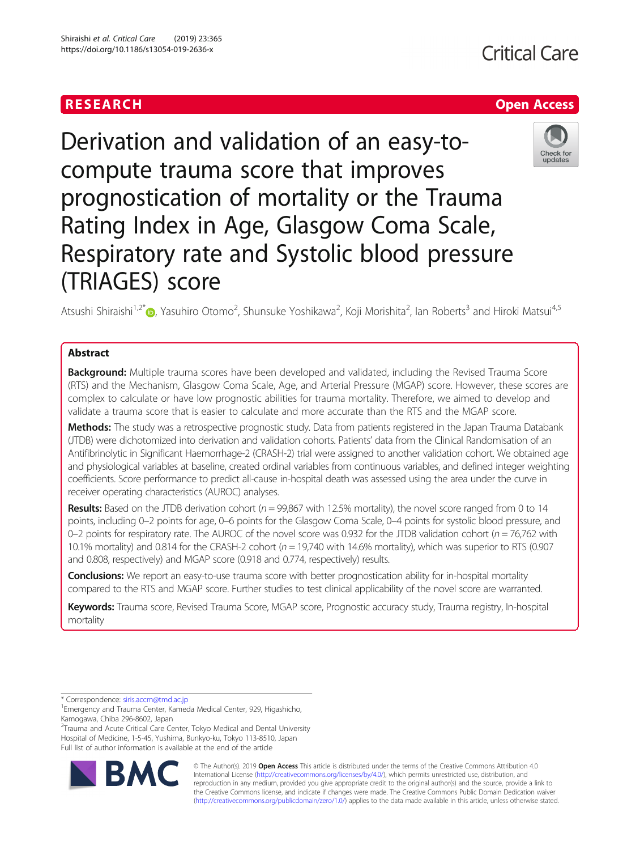## RESEARCH **RESEARCH CHANNEL EXECUTE ACCESS**

# Derivation and validation of an easy-tocompute trauma score that improves prognostication of mortality or the Trauma Rating Index in Age, Glasgow Coma Scale, Respiratory rate and Systolic blood pressure

Atsushi Shiraishi<sup>1[,](http://orcid.org/0000-0002-9192-625X)2\*</sup>®, Yasuhiro Otomo<sup>2</sup>, Shunsuke Yoshikawa<sup>2</sup>, Koji Morishita<sup>2</sup>, lan Roberts<sup>3</sup> and Hiroki Matsui<sup>4,5</sup>

## Abstract

Background: Multiple trauma scores have been developed and validated, including the Revised Trauma Score (RTS) and the Mechanism, Glasgow Coma Scale, Age, and Arterial Pressure (MGAP) score. However, these scores are complex to calculate or have low prognostic abilities for trauma mortality. Therefore, we aimed to develop and validate a trauma score that is easier to calculate and more accurate than the RTS and the MGAP score.

Methods: The study was a retrospective prognostic study. Data from patients registered in the Japan Trauma Databank (JTDB) were dichotomized into derivation and validation cohorts. Patients' data from the Clinical Randomisation of an Antifibrinolytic in Significant Haemorrhage-2 (CRASH-2) trial were assigned to another validation cohort. We obtained age and physiological variables at baseline, created ordinal variables from continuous variables, and defined integer weighting coefficients. Score performance to predict all-cause in-hospital death was assessed using the area under the curve in receiver operating characteristics (AUROC) analyses.

Results: Based on the JTDB derivation cohort ( $n = 99,867$  with 12.5% mortality), the novel score ranged from 0 to 14 points, including 0–2 points for age, 0–6 points for the Glasgow Coma Scale, 0–4 points for systolic blood pressure, and 0–2 points for respiratory rate. The AUROC of the novel score was 0.932 for the JTDB validation cohort ( $n = 76,762$  with 10.1% mortality) and 0.814 for the CRASH-2 cohort ( $n = 19,740$  with 14.6% mortality), which was superior to RTS (0.907 and 0.808, respectively) and MGAP score (0.918 and 0.774, respectively) results.

**Conclusions:** We report an easy-to-use trauma score with better prognostication ability for in-hospital mortality compared to the RTS and MGAP score. Further studies to test clinical applicability of the novel score are warranted.

Keywords: Trauma score, Revised Trauma Score, MGAP score, Prognostic accuracy study, Trauma registry, In-hospital mortality

<sup>2</sup> Trauma and Acute Critical Care Center, Tokyo Medical and Dental University Hospital of Medicine, 1-5-45, Yushima, Bunkyo-ku, Tokyo 113-8510, Japan Full list of author information is available at the end of the article





(TRIAGES) score







<sup>\*</sup> Correspondence: [siris.accm@tmd.ac.jp](mailto:siris.accm@tmd.ac.jp) <sup>1</sup>

<sup>&</sup>lt;sup>1</sup> Emergency and Trauma Center, Kameda Medical Center, 929, Higashicho, Kamogawa, Chiba 296-8602, Japan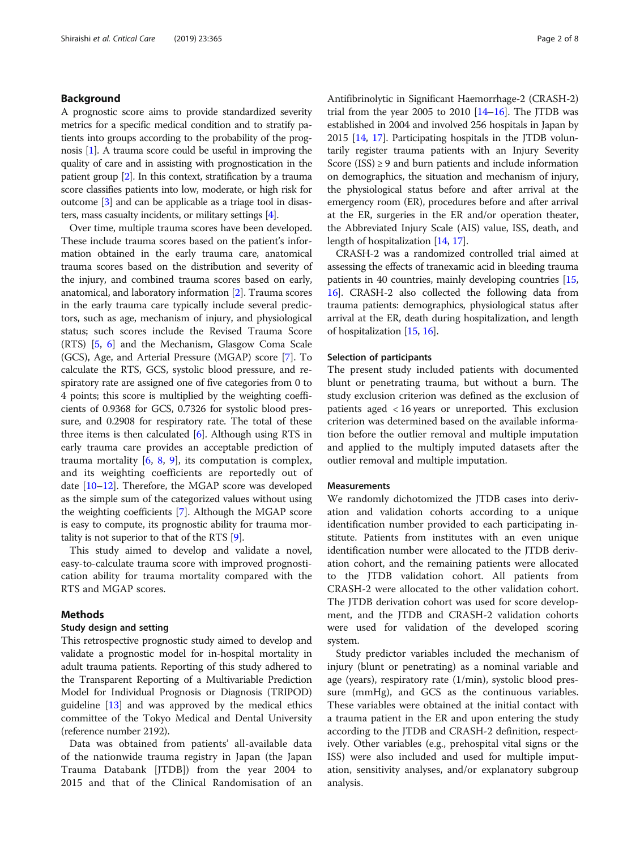## Background

A prognostic score aims to provide standardized severity metrics for a specific medical condition and to stratify patients into groups according to the probability of the prognosis [[1](#page-7-0)]. A trauma score could be useful in improving the quality of care and in assisting with prognostication in the patient group [\[2\]](#page-7-0). In this context, stratification by a trauma score classifies patients into low, moderate, or high risk for outcome [\[3\]](#page-7-0) and can be applicable as a triage tool in disasters, mass casualty incidents, or military settings [[4](#page-7-0)].

Over time, multiple trauma scores have been developed. These include trauma scores based on the patient's information obtained in the early trauma care, anatomical trauma scores based on the distribution and severity of the injury, and combined trauma scores based on early, anatomical, and laboratory information [[2\]](#page-7-0). Trauma scores in the early trauma care typically include several predictors, such as age, mechanism of injury, and physiological status; such scores include the Revised Trauma Score (RTS) [\[5,](#page-7-0) [6](#page-7-0)] and the Mechanism, Glasgow Coma Scale (GCS), Age, and Arterial Pressure (MGAP) score [\[7](#page-7-0)]. To calculate the RTS, GCS, systolic blood pressure, and respiratory rate are assigned one of five categories from 0 to 4 points; this score is multiplied by the weighting coefficients of 0.9368 for GCS, 0.7326 for systolic blood pressure, and 0.2908 for respiratory rate. The total of these three items is then calculated [[6\]](#page-7-0). Although using RTS in early trauma care provides an acceptable prediction of trauma mortality  $[6, 8, 9]$  $[6, 8, 9]$  $[6, 8, 9]$  $[6, 8, 9]$  $[6, 8, 9]$ , its computation is complex, and its weighting coefficients are reportedly out of date [\[10](#page-7-0)–[12](#page-7-0)]. Therefore, the MGAP score was developed as the simple sum of the categorized values without using the weighting coefficients [[7](#page-7-0)]. Although the MGAP score is easy to compute, its prognostic ability for trauma mortality is not superior to that of the RTS [\[9](#page-7-0)].

This study aimed to develop and validate a novel, easy-to-calculate trauma score with improved prognostication ability for trauma mortality compared with the RTS and MGAP scores.

## Methods

## Study design and setting

This retrospective prognostic study aimed to develop and validate a prognostic model for in-hospital mortality in adult trauma patients. Reporting of this study adhered to the Transparent Reporting of a Multivariable Prediction Model for Individual Prognosis or Diagnosis (TRIPOD) guideline [\[13\]](#page-7-0) and was approved by the medical ethics committee of the Tokyo Medical and Dental University (reference number 2192).

Data was obtained from patients' all-available data of the nationwide trauma registry in Japan (the Japan Trauma Databank [JTDB]) from the year 2004 to 2015 and that of the Clinical Randomisation of an Antifibrinolytic in Significant Haemorrhage-2 (CRASH-2) trial from the year 2005 to 2010  $[14–16]$  $[14–16]$  $[14–16]$  $[14–16]$ . The JTDB was established in 2004 and involved 256 hospitals in Japan by 2015 [\[14,](#page-7-0) [17](#page-7-0)]. Participating hospitals in the JTDB voluntarily register trauma patients with an Injury Severity Score (ISS)  $\geq$  9 and burn patients and include information on demographics, the situation and mechanism of injury, the physiological status before and after arrival at the emergency room (ER), procedures before and after arrival at the ER, surgeries in the ER and/or operation theater, the Abbreviated Injury Scale (AIS) value, ISS, death, and length of hospitalization [[14](#page-7-0), [17\]](#page-7-0).

CRASH-2 was a randomized controlled trial aimed at assessing the effects of tranexamic acid in bleeding trauma patients in 40 countries, mainly developing countries [[15](#page-7-0), [16](#page-7-0)]. CRASH-2 also collected the following data from trauma patients: demographics, physiological status after arrival at the ER, death during hospitalization, and length of hospitalization [\[15,](#page-7-0) [16](#page-7-0)].

#### Selection of participants

The present study included patients with documented blunt or penetrating trauma, but without a burn. The study exclusion criterion was defined as the exclusion of patients aged < 16 years or unreported. This exclusion criterion was determined based on the available information before the outlier removal and multiple imputation and applied to the multiply imputed datasets after the outlier removal and multiple imputation.

#### Measurements

We randomly dichotomized the JTDB cases into derivation and validation cohorts according to a unique identification number provided to each participating institute. Patients from institutes with an even unique identification number were allocated to the JTDB derivation cohort, and the remaining patients were allocated to the JTDB validation cohort. All patients from CRASH-2 were allocated to the other validation cohort. The JTDB derivation cohort was used for score development, and the JTDB and CRASH-2 validation cohorts were used for validation of the developed scoring system.

Study predictor variables included the mechanism of injury (blunt or penetrating) as a nominal variable and age (years), respiratory rate (1/min), systolic blood pressure (mmHg), and GCS as the continuous variables. These variables were obtained at the initial contact with a trauma patient in the ER and upon entering the study according to the JTDB and CRASH-2 definition, respectively. Other variables (e.g., prehospital vital signs or the ISS) were also included and used for multiple imputation, sensitivity analyses, and/or explanatory subgroup analysis.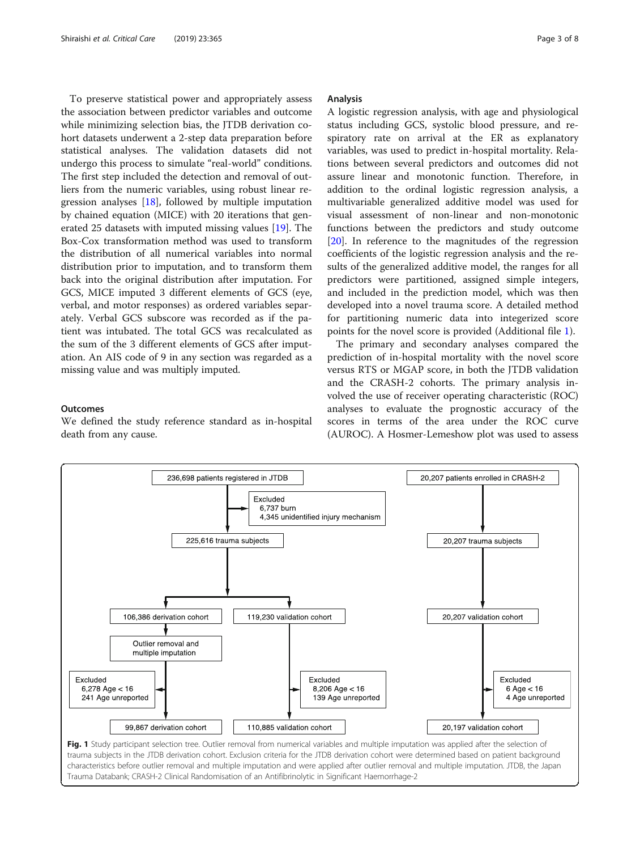<span id="page-2-0"></span>To preserve statistical power and appropriately assess the association between predictor variables and outcome while minimizing selection bias, the JTDB derivation cohort datasets underwent a 2-step data preparation before statistical analyses. The validation datasets did not undergo this process to simulate "real-world" conditions. The first step included the detection and removal of outliers from the numeric variables, using robust linear regression analyses [\[18\]](#page-7-0), followed by multiple imputation by chained equation (MICE) with 20 iterations that generated 25 datasets with imputed missing values [\[19\]](#page-7-0). The Box-Cox transformation method was used to transform the distribution of all numerical variables into normal distribution prior to imputation, and to transform them back into the original distribution after imputation. For GCS, MICE imputed 3 different elements of GCS (eye, verbal, and motor responses) as ordered variables separately. Verbal GCS subscore was recorded as if the patient was intubated. The total GCS was recalculated as the sum of the 3 different elements of GCS after imputation. An AIS code of 9 in any section was regarded as a missing value and was multiply imputed.

## **Outcomes**

We defined the study reference standard as in-hospital death from any cause.

## Analysis

A logistic regression analysis, with age and physiological status including GCS, systolic blood pressure, and respiratory rate on arrival at the ER as explanatory variables, was used to predict in-hospital mortality. Relations between several predictors and outcomes did not assure linear and monotonic function. Therefore, in addition to the ordinal logistic regression analysis, a multivariable generalized additive model was used for visual assessment of non-linear and non-monotonic functions between the predictors and study outcome [[20\]](#page-7-0). In reference to the magnitudes of the regression coefficients of the logistic regression analysis and the results of the generalized additive model, the ranges for all predictors were partitioned, assigned simple integers, and included in the prediction model, which was then developed into a novel trauma score. A detailed method for partitioning numeric data into integerized score points for the novel score is provided (Additional file [1](#page-6-0)).

The primary and secondary analyses compared the prediction of in-hospital mortality with the novel score versus RTS or MGAP score, in both the JTDB validation and the CRASH-2 cohorts. The primary analysis involved the use of receiver operating characteristic (ROC) analyses to evaluate the prognostic accuracy of the scores in terms of the area under the ROC curve (AUROC). A Hosmer-Lemeshow plot was used to assess

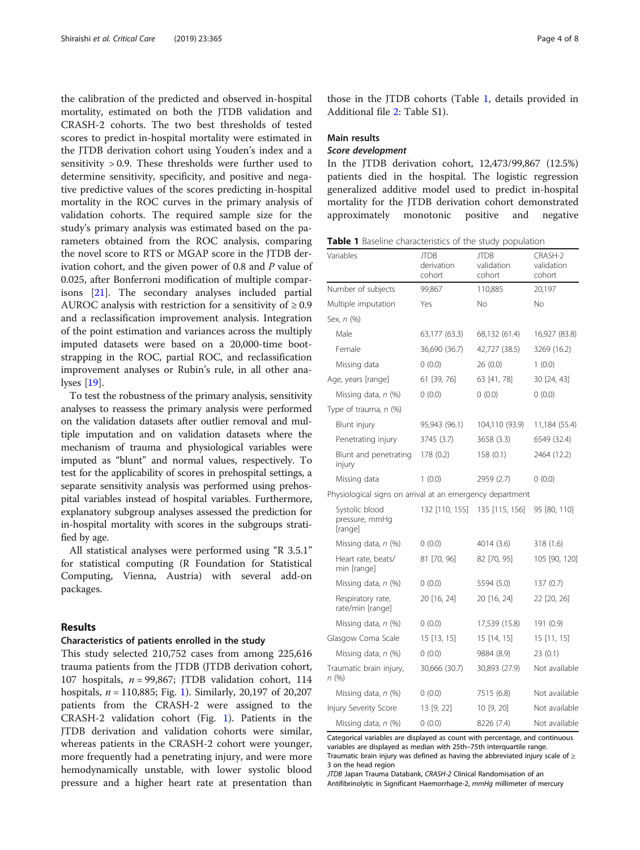the calibration of the predicted and observed in-hospital mortality, estimated on both the JTDB validation and CRASH-2 cohorts. The two best thresholds of tested scores to predict in-hospital mortality were estimated in the JTDB derivation cohort using Youden's index and a sensitivity > 0.9. These thresholds were further used to determine sensitivity, specificity, and positive and negative predictive values of the scores predicting in-hospital mortality in the ROC curves in the primary analysis of validation cohorts. The required sample size for the study's primary analysis was estimated based on the parameters obtained from the ROC analysis, comparing the novel score to RTS or MGAP score in the JTDB derivation cohort, and the given power of 0.8 and P value of 0.025, after Bonferroni modification of multiple comparisons [[21\]](#page-7-0). The secondary analyses included partial AUROC analysis with restriction for a sensitivity of  $\geq 0.9$ and a reclassification improvement analysis. Integration of the point estimation and variances across the multiply imputed datasets were based on a 20,000-time bootstrapping in the ROC, partial ROC, and reclassification improvement analyses or Rubin's rule, in all other analyses [[19\]](#page-7-0).

To test the robustness of the primary analysis, sensitivity analyses to reassess the primary analysis were performed on the validation datasets after outlier removal and multiple imputation and on validation datasets where the mechanism of trauma and physiological variables were imputed as "blunt" and normal values, respectively. To test for the applicability of scores in prehospital settings, a separate sensitivity analysis was performed using prehospital variables instead of hospital variables. Furthermore, explanatory subgroup analyses assessed the prediction for in-hospital mortality with scores in the subgroups stratified by age.

All statistical analyses were performed using "R 3.5.1" for statistical computing (R Foundation for Statistical Computing, Vienna, Austria) with several add-on packages.

## Results

#### Characteristics of patients enrolled in the study

This study selected 210,752 cases from among 225,616 trauma patients from the JTDB (JTDB derivation cohort, 107 hospitals,  $n = 99,867$ ; JTDB validation cohort, 114 hospitals,  $n = 110,885$ ; Fig. [1\)](#page-2-0). Similarly, 20,197 of 20,207 patients from the CRASH-2 were assigned to the CRASH-2 validation cohort (Fig. [1\)](#page-2-0). Patients in the JTDB derivation and validation cohorts were similar, whereas patients in the CRASH-2 cohort were younger, more frequently had a penetrating injury, and were more hemodynamically unstable, with lower systolic blood pressure and a higher heart rate at presentation than

those in the JTDB cohorts (Table 1, details provided in Additional file [2](#page-6-0): Table S1).

### Main results

## Score development

In the JTDB derivation cohort, 12,473/99,867 (12.5%) patients died in the hospital. The logistic regression generalized additive model used to predict in-hospital mortality for the JTDB derivation cohort demonstrated approximately monotonic positive and negative

| Variables                                                 | <b>JTDB</b><br>derivation<br>cohort | <b>JTDB</b><br>validation<br>cohort | CRASH-2<br>validation<br>cohort |
|-----------------------------------------------------------|-------------------------------------|-------------------------------------|---------------------------------|
| Number of subjects                                        | 99,867                              | 110,885                             | 20,197                          |
| Multiple imputation                                       | Yes                                 | No                                  | No                              |
| Sex, n (%)                                                |                                     |                                     |                                 |
| Male                                                      | 63,177 (63.3)                       | 68,132 (61.4)                       | 16,927 (83.8)                   |
| Female                                                    | 36,690 (36.7)                       | 42,727 (38.5)                       | 3269 (16.2)                     |
| Missing data                                              | 0(0.0)                              | 26(0.0)                             | 1(0.0)                          |
| Age, years [range]                                        | 61 [39, 76]                         | 63 [41, 78]                         | 30 [24, 43]                     |
| Missing data, n (%)                                       | 0(0.0)                              | 0(0.0)                              | 0(0.0)                          |
| Type of trauma, n (%)                                     |                                     |                                     |                                 |
| Blunt injury                                              | 95,943 (96.1)                       | 104,110 (93.9)                      | 11,184 (55.4)                   |
| Penetrating injury                                        | 3745 (3.7)                          | 3658 (3.3)                          | 6549 (32.4)                     |
| Blunt and penetrating<br>injury                           | 178 (0.2)                           | 158(0.1)                            | 2464 (12.2)                     |
| Missing data                                              | 1(0.0)                              | 2959 (2.7)                          | 0(0.0)                          |
| Physiological signs on arrival at an emergency department |                                     |                                     |                                 |
| Systolic blood<br>pressure, mmHq<br>[range]               | 132 [110, 155]                      | 135 [115, 156]                      | 95 [80, 110]                    |
| Missing data, n (%)                                       | 0(0.0)                              | 4014 (3.6)                          | 318 (1.6)                       |
| Heart rate, beats/<br>min [range]                         | 81 [70, 96]                         | 82 [70, 95]                         | 105 [90, 120]                   |
| Missing data, n (%)                                       | 0(0.0)                              | 5594 (5.0)                          | 137(0.7)                        |
| Respiratory rate,<br>rate/min [range]                     | 20 [16, 24]                         | 20 [16, 24]                         | 22 [20, 26]                     |
| Missing data, n (%)                                       | 0(0.0)                              | 17,539 (15.8)                       | 191 (0.9)                       |
| Glasgow Coma Scale                                        | 15 [13, 15]                         | 15 [14, 15]                         | 15 [11, 15]                     |
| Missing data, n (%)                                       | 0(0.0)                              | 9884 (8.9)                          | 23(0.1)                         |
| Traumatic brain injury,<br>n (%)                          | 30,666 (30.7)                       | 30,893 (27.9)                       | Not available                   |
| Missing data, n (%)                                       | 0(0.0)                              | 7515 (6.8)                          | Not available                   |
| Injury Severity Score                                     | 13 [9, 22]                          | 10 [9, 20]                          | Not available                   |
| Missing data, n (%)                                       | 0(0.0)                              | 8226 (7.4)                          | Not available                   |

Categorical variables are displayed as count with percentage, and continuous variables are displayed as median with 25th–75th interquartile range. Traumatic brain injury was defined as having the abbreviated injury scale of  $\geq$ 3 on the head region

Antifibrinolytic in Significant Haemorrhage-2, mmHg millimeter of mercury

JTDB Japan Trauma Databank, CRASH-2 Clinical Randomisation of an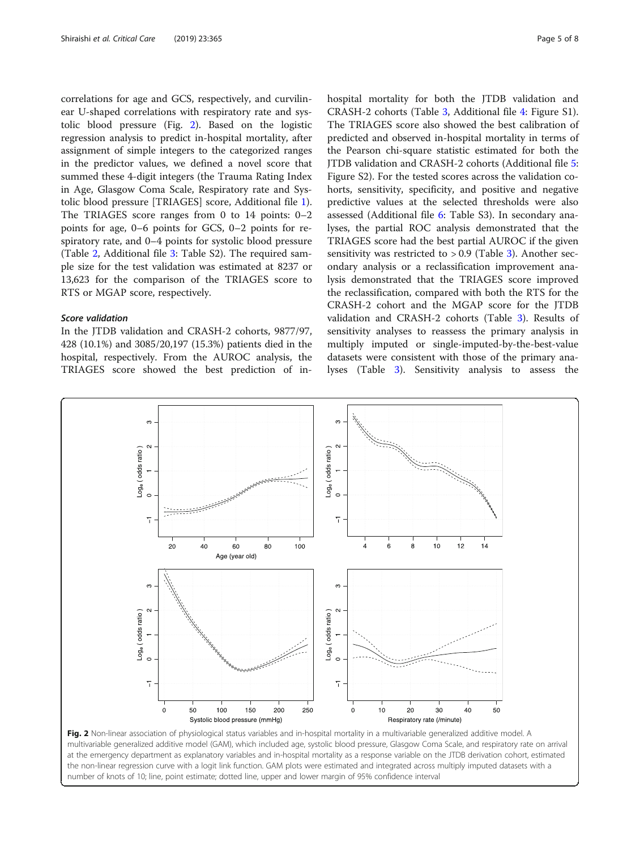correlations for age and GCS, respectively, and curvilinear U-shaped correlations with respiratory rate and systolic blood pressure (Fig. 2). Based on the logistic regression analysis to predict in-hospital mortality, after assignment of simple integers to the categorized ranges in the predictor values, we defined a novel score that summed these 4-digit integers (the Trauma Rating Index in Age, Glasgow Coma Scale, Respiratory rate and Systolic blood pressure [TRIAGES] score, Additional file [1](#page-6-0)). The TRIAGES score ranges from 0 to 14 points: 0–2 points for age, 0–6 points for GCS, 0–2 points for respiratory rate, and 0–4 points for systolic blood pressure (Table [2,](#page-5-0) Additional file [3](#page-6-0): Table S2). The required sample size for the test validation was estimated at 8237 or 13,623 for the comparison of the TRIAGES score to RTS or MGAP score, respectively.

## Score validation

In the JTDB validation and CRASH-2 cohorts, 9877/97, 428 (10.1%) and 3085/20,197 (15.3%) patients died in the hospital, respectively. From the AUROC analysis, the TRIAGES score showed the best prediction of inhospital mortality for both the JTDB validation and CRASH-2 cohorts (Table [3,](#page-6-0) Additional file [4:](#page-6-0) Figure S1). The TRIAGES score also showed the best calibration of predicted and observed in-hospital mortality in terms of the Pearson chi-square statistic estimated for both the JTDB validation and CRASH-2 cohorts (Additional file [5](#page-6-0): Figure S2). For the tested scores across the validation cohorts, sensitivity, specificity, and positive and negative predictive values at the selected thresholds were also assessed (Additional file [6:](#page-6-0) Table S3). In secondary analyses, the partial ROC analysis demonstrated that the TRIAGES score had the best partial AUROC if the given sensitivity was restricted to  $> 0.9$  (Table [3\)](#page-6-0). Another secondary analysis or a reclassification improvement analysis demonstrated that the TRIAGES score improved the reclassification, compared with both the RTS for the CRASH-2 cohort and the MGAP score for the JTDB validation and CRASH-2 cohorts (Table [3](#page-6-0)). Results of sensitivity analyses to reassess the primary analysis in multiply imputed or single-imputed-by-the-best-value datasets were consistent with those of the primary analyses (Table [3](#page-6-0)). Sensitivity analysis to assess the



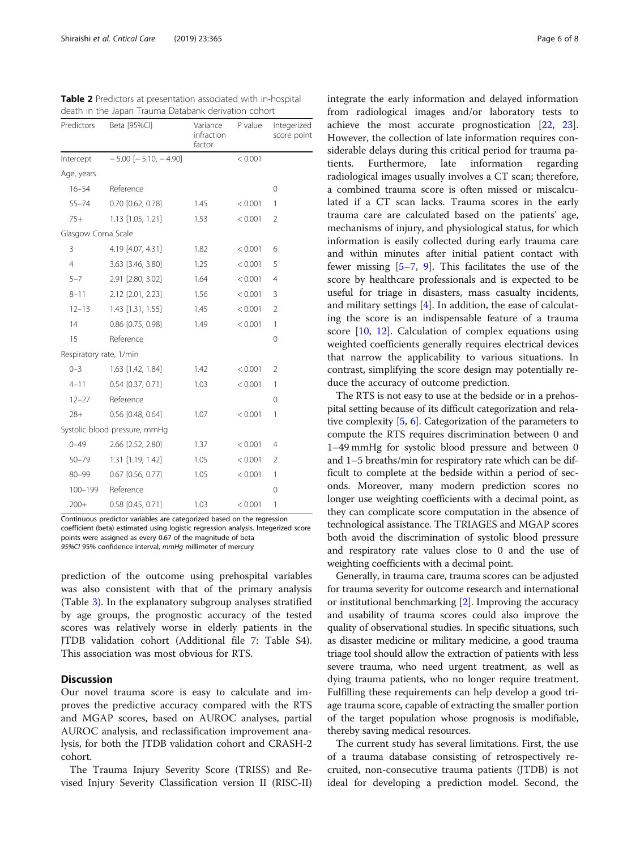<span id="page-5-0"></span>

| Table 2 Predictors at presentation associated with in-hospital |
|----------------------------------------------------------------|
| death in the Japan Trauma Databank derivation cohort           |

| Predictors              | Beta [95%Cl]                  | Variance<br>infraction<br>factor | $P$ value | Integerized<br>score point |  |
|-------------------------|-------------------------------|----------------------------------|-----------|----------------------------|--|
| Intercept               | $-5.00$ [ $-5.10$ , $-4.90$ ] |                                  | < 0.001   |                            |  |
| Age, years              |                               |                                  |           |                            |  |
| $16 - 54$               | Reference                     |                                  |           | $\mathbf 0$                |  |
| $55 - 74$               | 0.70 [0.62, 0.78]             | 1.45                             | < 0.001   | 1                          |  |
| $75+$                   | 1.13 [1.05, 1.21]             | 1.53                             | < 0.001   | $\overline{2}$             |  |
| Glasgow Coma Scale      |                               |                                  |           |                            |  |
| 3                       | 4.19 [4.07, 4.31]             | 1.82                             | < 0.001   | 6                          |  |
| $\overline{4}$          | 3.63 [3.46, 3.80]             | 1.25                             | < 0.001   | 5                          |  |
| $5 - 7$                 | 2.91 [2.80, 3.02]             | 1.64                             | < 0.001   | $\overline{4}$             |  |
| $8 - 11$                | 2.12 [2.01, 2.23]             | 1.56                             | < 0.001   | 3                          |  |
| $12 - 13$               | 1.43 [1.31, 1.55]             | 1.45                             | < 0.001   | $\overline{2}$             |  |
| 14                      | 0.86 [0.75, 0.98]             | 1.49                             | < 0.001   | 1                          |  |
| 15                      | Reference                     |                                  |           | $\mathbf 0$                |  |
| Respiratory rate, 1/min |                               |                                  |           |                            |  |
| $0 - 3$                 | 1.63 [1.42, 1.84]             | 1.42                             | < 0.001   | $\overline{2}$             |  |
| $4 - 11$                | $0.54$ [0.37, 0.71]           | 1.03                             | < 0.001   | 1                          |  |
| $12 - 27$               | Reference                     |                                  |           | 0                          |  |
| $28+$                   | 0.56 [0.48, 0.64]             | 1.07                             | < 0.001   | 1                          |  |
|                         | Systolic blood pressure, mmHg |                                  |           |                            |  |
| $0 - 49$                | 2.66 [2.52, 2.80]             | 1.37                             | < 0.001   | $\overline{4}$             |  |
| $50 - 79$               | 1.31 [1.19, 1.42]             | 1.05                             | < 0.001   | $\overline{2}$             |  |
| $80 - 99$               | 0.67 [0.56, 0.77]             | 1.05                             | < 0.001   | 1                          |  |
| 100-199                 | Reference                     |                                  |           | 0                          |  |
| $200+$                  | 0.58 [0.45, 0.71]             | 1.03                             | < 0.001   | 1                          |  |

Continuous predictor variables are categorized based on the regression coefficient (beta) estimated using logistic regression analysis. Integerized score points were assigned as every 0.67 of the magnitude of beta 95%CI 95% confidence interval, mmHg millimeter of mercury

prediction of the outcome using prehospital variables was also consistent with that of the primary analysis (Table [3\)](#page-6-0). In the explanatory subgroup analyses stratified by age groups, the prognostic accuracy of the tested scores was relatively worse in elderly patients in the JTDB validation cohort (Additional file [7:](#page-6-0) Table S4). This association was most obvious for RTS.

## **Discussion**

Our novel trauma score is easy to calculate and improves the predictive accuracy compared with the RTS and MGAP scores, based on AUROC analyses, partial AUROC analysis, and reclassification improvement analysis, for both the JTDB validation cohort and CRASH-2 cohort.

The Trauma Injury Severity Score (TRISS) and Revised Injury Severity Classification version II (RISC-II) integrate the early information and delayed information from radiological images and/or laboratory tests to achieve the most accurate prognostication [\[22](#page-7-0), [23](#page-7-0)]. However, the collection of late information requires considerable delays during this critical period for trauma patients. Furthermore, late information regarding radiological images usually involves a CT scan; therefore, a combined trauma score is often missed or miscalculated if a CT scan lacks. Trauma scores in the early trauma care are calculated based on the patients' age, mechanisms of injury, and physiological status, for which information is easily collected during early trauma care and within minutes after initial patient contact with fewer missing [\[5](#page-7-0)–[7,](#page-7-0) [9](#page-7-0)]. This facilitates the use of the score by healthcare professionals and is expected to be useful for triage in disasters, mass casualty incidents, and military settings [[4\]](#page-7-0). In addition, the ease of calculating the score is an indispensable feature of a trauma score [[10,](#page-7-0) [12](#page-7-0)]. Calculation of complex equations using weighted coefficients generally requires electrical devices that narrow the applicability to various situations. In contrast, simplifying the score design may potentially reduce the accuracy of outcome prediction.

The RTS is not easy to use at the bedside or in a prehospital setting because of its difficult categorization and relative complexity [\[5,](#page-7-0) [6\]](#page-7-0). Categorization of the parameters to compute the RTS requires discrimination between 0 and 1–49 mmHg for systolic blood pressure and between 0 and 1–5 breaths/min for respiratory rate which can be difficult to complete at the bedside within a period of seconds. Moreover, many modern prediction scores no longer use weighting coefficients with a decimal point, as they can complicate score computation in the absence of technological assistance. The TRIAGES and MGAP scores both avoid the discrimination of systolic blood pressure and respiratory rate values close to 0 and the use of weighting coefficients with a decimal point.

Generally, in trauma care, trauma scores can be adjusted for trauma severity for outcome research and international or institutional benchmarking [[2](#page-7-0)]. Improving the accuracy and usability of trauma scores could also improve the quality of observational studies. In specific situations, such as disaster medicine or military medicine, a good trauma triage tool should allow the extraction of patients with less severe trauma, who need urgent treatment, as well as dying trauma patients, who no longer require treatment. Fulfilling these requirements can help develop a good triage trauma score, capable of extracting the smaller portion of the target population whose prognosis is modifiable, thereby saving medical resources.

The current study has several limitations. First, the use of a trauma database consisting of retrospectively recruited, non-consecutive trauma patients (JTDB) is not ideal for developing a prediction model. Second, the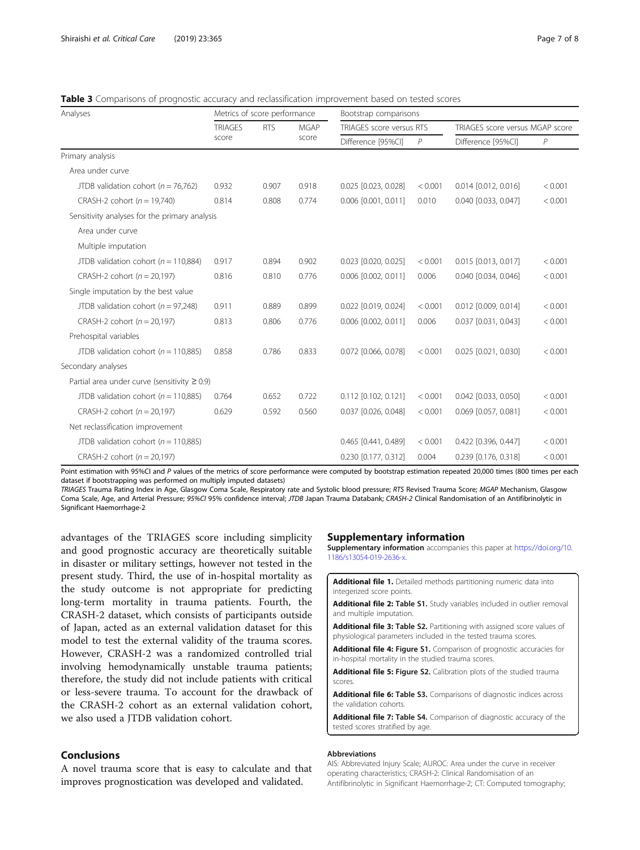<span id="page-6-0"></span>**Table 3** Comparisons of prognostic accuracy and reclassification improvement based on tested scores

| Analyses                                           | Metrics of score performance |            | Bootstrap comparisons |                          |         |                                 |         |  |
|----------------------------------------------------|------------------------------|------------|-----------------------|--------------------------|---------|---------------------------------|---------|--|
|                                                    | <b>TRIAGES</b><br>score      | <b>RTS</b> | <b>MGAP</b>           | TRIAGES score versus RTS |         | TRIAGES score versus MGAP score |         |  |
|                                                    |                              |            | score                 | Difference [95%CI]       | P       | Difference [95%CI]              | P       |  |
| Primary analysis                                   |                              |            |                       |                          |         |                                 |         |  |
| Area under curve                                   |                              |            |                       |                          |         |                                 |         |  |
| JTDB validation cohort ( $n = 76,762$ )            | 0.932                        | 0.907      | 0.918                 | 0.025 [0.023, 0.028]     | < 0.001 | 0.014 [0.012, 0.016]            | < 0.001 |  |
| CRASH-2 cohort ( $n = 19,740$ )                    | 0.814                        | 0.808      | 0.774                 | 0.006 [0.001, 0.011]     | 0.010   | 0.040 [0.033, 0.047]            | < 0.001 |  |
| Sensitivity analyses for the primary analysis      |                              |            |                       |                          |         |                                 |         |  |
| Area under curve                                   |                              |            |                       |                          |         |                                 |         |  |
| Multiple imputation                                |                              |            |                       |                          |         |                                 |         |  |
| JTDB validation cohort ( $n = 110,884$ )           | 0.917                        | 0.894      | 0.902                 | 0.023 [0.020, 0.025]     | < 0.001 | 0.015 [0.013, 0.017]            | < 0.001 |  |
| CRASH-2 cohort ( $n = 20,197$ )                    | 0.816                        | 0.810      | 0.776                 | 0.006 [0.002, 0.011]     | 0.006   | 0.040 [0.034, 0.046]            | < 0.001 |  |
| Single imputation by the best value                |                              |            |                       |                          |         |                                 |         |  |
| JTDB validation cohort ( $n = 97,248$ )            | 0.911                        | 0.889      | 0.899                 | 0.022 [0.019, 0.024]     | < 0.001 | 0.012 [0.009, 0.014]            | < 0.001 |  |
| CRASH-2 cohort $(n = 20,197)$                      | 0.813                        | 0.806      | 0.776                 | 0.006 [0.002, 0.011]     | 0.006   | 0.037 [0.031, 0.043]            | < 0.001 |  |
| Prehospital variables                              |                              |            |                       |                          |         |                                 |         |  |
| JTDB validation cohort ( $n = 110,885$ )           | 0.858                        | 0.786      | 0.833                 | 0.072 [0.066, 0.078]     | < 0.001 | 0.025 [0.021, 0.030]            | < 0.001 |  |
| Secondary analyses                                 |                              |            |                       |                          |         |                                 |         |  |
| Partial area under curve (sensitivity $\geq 0.9$ ) |                              |            |                       |                          |         |                                 |         |  |
| JTDB validation cohort ( $n = 110,885$ )           | 0.764                        | 0.652      | 0.722                 | 0.112 [0.102, 0.121]     | < 0.001 | 0.042 [0.033, 0.050]            | < 0.001 |  |
| CRASH-2 cohort ( $n = 20,197$ )                    | 0.629                        | 0.592      | 0.560                 | 0.037 [0.026, 0.048]     | < 0.001 | 0.069 [0.057, 0.081]            | < 0.001 |  |
| Net reclassification improvement                   |                              |            |                       |                          |         |                                 |         |  |
| JTDB validation cohort ( $n = 110,885$ )           |                              |            |                       | 0.465 [0.441, 0.489]     | < 0.001 | 0.422 [0.396, 0.447]            | < 0.001 |  |
| CRASH-2 cohort ( $n = 20,197$ )                    |                              |            |                       | 0.230 [0.177, 0.312]     | 0.004   | 0.239 [0.176, 0.318]            | < 0.001 |  |

Point estimation with 95%CI and P values of the metrics of score performance were computed by bootstrap estimation repeated 20,000 times (800 times per each dataset if bootstrapping was performed on multiply imputed datasets)

TRIAGES Trauma Rating Index in Age, Glasgow Coma Scale, Respiratory rate and Systolic blood pressure; RTS Revised Trauma Score; MGAP Mechanism, Glasgow Coma Scale, Age, and Arterial Pressure; 95%CI 95% confidence interval; JTDB Japan Trauma Databank; CRASH-2 Clinical Randomisation of an Antifibrinolytic in Significant Haemorrhage-2

advantages of the TRIAGES score including simplicity and good prognostic accuracy are theoretically suitable in disaster or military settings, however not tested in the present study. Third, the use of in-hospital mortality as the study outcome is not appropriate for predicting long-term mortality in trauma patients. Fourth, the CRASH-2 dataset, which consists of participants outside of Japan, acted as an external validation dataset for this model to test the external validity of the trauma scores. However, CRASH-2 was a randomized controlled trial involving hemodynamically unstable trauma patients; therefore, the study did not include patients with critical or less-severe trauma. To account for the drawback of the CRASH-2 cohort as an external validation cohort, we also used a JTDB validation cohort.

## Conclusions

A novel trauma score that is easy to calculate and that improves prognostication was developed and validated.

#### Supplementary information

Supplementary information accompanies this paper at [https://doi.org/10.](https://doi.org/10.1186/s13054-019-2636-x) [1186/s13054-019-2636-x](https://doi.org/10.1186/s13054-019-2636-x).

Additional file 1. Detailed methods partitioning numeric data into integerized score points.

Additional file 2: Table S1. Study variables included in outlier removal and multiple imputation.

Additional file 3: Table S2. Partitioning with assigned score values of physiological parameters included in the tested trauma scores.

Additional file 4: Figure S1. Comparison of prognostic accuracies for in-hospital mortality in the studied trauma scores.

Additional file 5: Figure S2. Calibration plots of the studied trauma scores.

Additional file 6: Table S3. Comparisons of diagnostic indices across the validation cohorts.

Additional file 7: Table S4. Comparison of diagnostic accuracy of the tested scores stratified by age.

#### Abbreviations

AIS: Abbreviated Injury Scale; AUROC: Area under the curve in receiver operating characteristics; CRASH-2: Clinical Randomisation of an Antifibrinolytic in Significant Haemorrhage-2; CT: Computed tomography;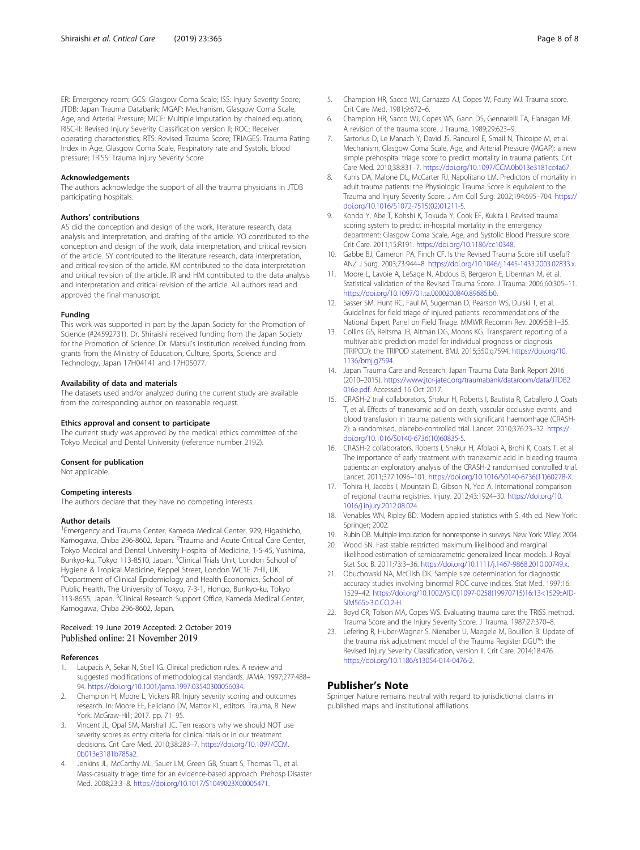<span id="page-7-0"></span>ER: Emergency room; GCS: Glasgow Coma Scale; ISS: Injury Severity Score; JTDB: Japan Trauma Databank; MGAP: Mechanism, Glasgow Coma Scale, Age, and Arterial Pressure; MICE: Multiple imputation by chained equation; RISC-II: Revised Injury Severity Classification version II; ROC: Receiver operating characteristics; RTS: Revised Trauma Score; TRIAGES: Trauma Rating Index in Age, Glasgow Coma Scale, Respiratory rate and Systolic blood pressure; TRISS: Trauma Injury Severity Score

#### Acknowledgements

The authors acknowledge the support of all the trauma physicians in JTDB participating hospitals.

#### Authors' contributions

AS did the conception and design of the work, literature research, data analysis and interpretation, and drafting of the article. YO contributed to the conception and design of the work, data interpretation, and critical revision of the article. SY contributed to the literature research, data interpretation, and critical revision of the article. KM contributed to the data interpretation and critical revision of the article. IR and HM contributed to the data analysis and interpretation and critical revision of the article. All authors read and approved the final manuscript.

#### Funding

This work was supported in part by the Japan Society for the Promotion of Science (#24592731). Dr. Shiraishi received funding from the Japan Society for the Promotion of Science. Dr. Matsui's institution received funding from grants from the Ministry of Education, Culture, Sports, Science and Technology, Japan 17H04141 and 17H05077.

#### Availability of data and materials

The datasets used and/or analyzed during the current study are available from the corresponding author on reasonable request.

#### Ethics approval and consent to participate

The current study was approved by the medical ethics committee of the Tokyo Medical and Dental University (reference number 2192).

#### Consent for publication

Not applicable.

#### Competing interests

The authors declare that they have no competing interests.

#### Author details

<sup>1</sup> Emergency and Trauma Center, Kameda Medical Center, 929, Higashicho, Kamogawa, Chiba 296-8602, Japan. <sup>2</sup>Trauma and Acute Critical Care Center, Tokyo Medical and Dental University Hospital of Medicine, 1-5-45, Yushima, Bunkyo-ku, Tokyo 113-8510, Japan. <sup>3</sup>Clinical Trials Unit, London School of Hygiene & Tropical Medicine, Keppel Street, London WC1E 7HT, UK. <sup>4</sup>Department of Clinical Epidemiology and Health Economics, School of Public Health, The University of Tokyo, 7-3-1, Hongo, Bunkyo-ku, Tokyo 113-8655, Japan. <sup>5</sup>Clinical Research Support Office, Kameda Medical Center, Kamogawa, Chiba 296-8602, Japan.

# Received: 19 June 2019 Accepted: 2 October 2019<br>Published online: 21 November 2019

#### References

- Laupacis A, Sekar N, Stiell IG. Clinical prediction rules. A review and suggested modifications of methodological standards. JAMA. 1997;277:488– 94. <https://doi.org/10.1001/jama.1997.03540300056034>.
- 2. Champion H, Moore L, Vickers RR. Injury severity scoring and outcomes research. In: Moore EE, Feliciano DV, Mattox KL, editors. Trauma, 8. New York: McGraw-Hill; 2017. pp. 71–95.
- 3. Vincent JL, Opal SM, Marshall JC. Ten reasons why we should NOT use severity scores as entry criteria for clinical trials or in our treatment decisions. Crit Care Med. 2010;38:283–7. [https://doi.org/10.1097/CCM.](https://doi.org/10.1097/CCM.0b013e3181b785a2) [0b013e3181b785a2.](https://doi.org/10.1097/CCM.0b013e3181b785a2)
- 4. Jenkins JL, McCarthy ML, Sauer LM, Green GB, Stuart S, Thomas TL, et al. Mass-casualty triage: time for an evidence-based approach. Prehosp Disaster Med. 2008;23:3–8. [https://doi.org/10.1017/S1049023X00005471.](https://doi.org/10.1017/S1049023X00005471)
- 5. Champion HR, Sacco WJ, Carnazzo AJ, Copes W, Fouty WJ. Trauma score. Crit Care Med. 1981;9:672–6.
- 6. Champion HR, Sacco WJ, Copes WS, Gann DS, Gennarelli TA, Flanagan ME. A revision of the trauma score. J Trauma. 1989;29:623–9.
- 7. Sartorius D, Le Manach Y, David JS, Rancurel E, Smail N, Thicoipe M, et al. Mechanism, Glasgow Coma Scale, Age, and Arterial Pressure (MGAP): a new simple prehospital triage score to predict mortality in trauma patients. Crit Care Med. 2010;38:831–7. <https://doi.org/10.1097/CCM.0b013e3181cc4a67>.
- 8. Kuhls DA, Malone DL, McCarter RJ, Napolitano LM. Predictors of mortality in adult trauma patients: the Physiologic Trauma Score is equivalent to the Trauma and Injury Severity Score. J Am Coll Surg. 2002;194:695–704. [https://](https://doi.org/10.1016/S1072-7515(02)01211-5) [doi.org/10.1016/S1072-7515\(02\)01211-5](https://doi.org/10.1016/S1072-7515(02)01211-5).
- 9. Kondo Y, Abe T, Kohshi K, Tokuda Y, Cook EF, Kukita I. Revised trauma scoring system to predict in-hospital mortality in the emergency department: Glasgow Coma Scale, Age, and Systolic Blood Pressure score. Crit Care. 2011;15:R191. <https://doi.org/10.1186/cc10348>.
- 10. Gabbe BJ, Cameron PA, Finch CF. Is the Revised Trauma Score still useful? ANZ J Surg. 2003;73:944–8. <https://doi.org/10.1046/j.1445-1433.2003.02833.x>.
- 11. Moore L, Lavoie A, LeSage N, Abdous B, Bergeron E, Liberman M, et al. Statistical validation of the Revised Trauma Score. J Trauma. 2006;60:305–11. <https://doi.org/10.1097/01.ta.0000200840.89685.b0>.
- 12. Sasser SM, Hunt RC, Faul M, Sugerman D, Pearson WS, Dulski T, et al. Guidelines for field triage of injured patients: recommendations of the National Expert Panel on Field Triage. MMWR Recomm Rev. 2009;58:1–35.
- 13. Collins GS, Reitsma JB, Altman DG, Moons KG. Transparent reporting of a multivariable prediction model for individual prognosis or diagnosis (TRIPOD): the TRIPOD statement. BMJ. 2015;350:g7594. [https://doi.org/10.](https://doi.org/10.1136/bmj.g7594) [1136/bmj.g7594.](https://doi.org/10.1136/bmj.g7594)
- 14. Japan Trauma Care and Research. Japan Trauma Data Bank Report 2016 (2010–2015). [https://www.jtcr-jatec.org/traumabank/dataroom/data/JTDB2](https://www.jtcr-jatec.org/traumabank/dataroom/data/JTDB2016e.pdf) [016e.pdf](https://www.jtcr-jatec.org/traumabank/dataroom/data/JTDB2016e.pdf). Accessed 16 Oct 2017.
- 15. CRASH-2 trial collaborators, Shakur H, Roberts I, Bautista R, Caballero J, Coats T, et al. Effects of tranexamic acid on death, vascular occlusive events, and blood transfusion in trauma patients with significant haemorrhage (CRASH-2): a randomised, placebo-controlled trial. Lancet. 2010;376:23–32. [https://](https://doi.org/10.1016/S0140-6736(10)60835-5) [doi.org/10.1016/S0140-6736\(10\)60835-5](https://doi.org/10.1016/S0140-6736(10)60835-5).
- 16. CRASH-2 collaborators, Roberts I, Shakur H, Afolabi A, Brohi K, Coats T, et al. The importance of early treatment with tranexamic acid in bleeding trauma patients: an exploratory analysis of the CRASH-2 randomised controlled trial. Lancet. 2011;377:1096–101. [https://doi.org/10.1016/S0140-6736\(11\)60278-X](https://doi.org/10.1016/S0140-6736(11)60278-X).
- 17. Tohira H, Jacobs I, Mountain D, Gibson N, Yeo A. International comparison of regional trauma registries. Injury. 2012;43:1924–30. [https://doi.org/10.](https://doi.org/10.1016/j.injury.2012.08.024) [1016/j.injury.2012.08.024](https://doi.org/10.1016/j.injury.2012.08.024).
- 18. Venables WN, Ripley BD. Modern applied statistics with S. 4th ed. New York: Springer: 2002
- 19. Rubin DB. Multiple imputation for nonresponse in surveys. New York: Wiley; 2004.
- 20. Wood SN. Fast stable restricted maximum likelihood and marginal likelihood estimation of semiparametric generalized linear models. J Royal Stat Soc B. 2011;73:3–36. <https://doi.org/10.1111/j.1467-9868.2010.00749.x>.
- 21. Obuchowski NA, McClish DK. Sample size determination for diagnostic accuracy studies involving binormal ROC curve indices. Stat Med. 1997;16: 1529–42. [https://doi.org/10.1002/\(SICI\)1097-0258\(19970715\)16:13<1529::AID-](https://doi.org/10.1002/(SICI)1097-0258(19970715)16:13<1529::AID-SIM565>3.0.CO;2-H)[SIM565>3.0.CO;2-H](https://doi.org/10.1002/(SICI)1097-0258(19970715)16:13<1529::AID-SIM565>3.0.CO;2-H).
- 22. Boyd CR, Tolson MA, Copes WS. Evaluating trauma care: the TRISS method. Trauma Score and the Injury Severity Score. J Trauma. 1987;27:370–8.
- 23. Lefering R, Huber-Wagner S, Nienaber U, Maegele M, Bouillon B. Update of the trauma risk adjustment model of the Trauma Register DGU™: the Revised Injury Severity Classification, version II. Crit Care. 2014;18:476. <https://doi.org/10.1186/s13054-014-0476-2>.

## Publisher's Note

Springer Nature remains neutral with regard to jurisdictional claims in published maps and institutional affiliations.